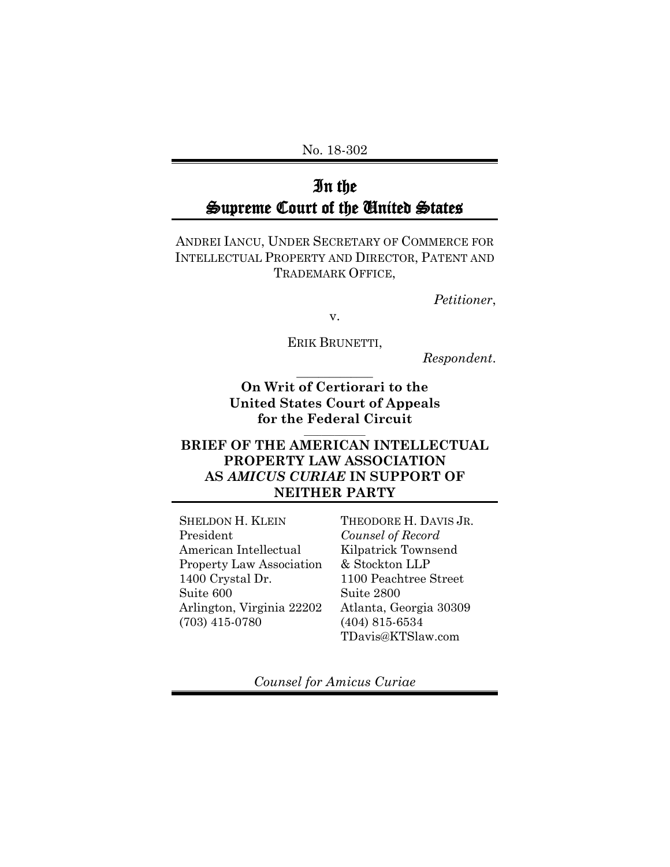No. 18-302

# In the Supreme Court of the United States

ANDREI IANCU, UNDER SECRETARY OF COMMERCE FOR INTELLECTUAL PROPERTY AND DIRECTOR, PATENT AND TRADEMARK OFFICE,

*Petitioner*,

v.

ERIK BRUNETTI,

*Respondent*.

**On Writ of Certiorari to the United States Court of Appeals for the Federal Circuit** 

**\_\_\_\_\_\_\_\_\_\_\_\_\_\_**

## **BRIEF OF THE AMERICAN INTELLECTUAL PROPERTY LAW ASSOCIATION AS** *AMICUS CURIAE* **IN SUPPORT OF NEITHER PARTY**

SHELDON H. KLEIN President American Intellectual Property Law Association 1400 Crystal Dr. Suite 600 Arlington, Virginia 22202 (703) 415-0780

THEODORE H. DAVIS JR. *Counsel of Record* Kilpatrick Townsend & Stockton LLP 1100 Peachtree Street Suite 2800 Atlanta, Georgia 30309 (404) 815-6534 TDavis@KTSlaw.com

*Counsel for Amicus Curiae*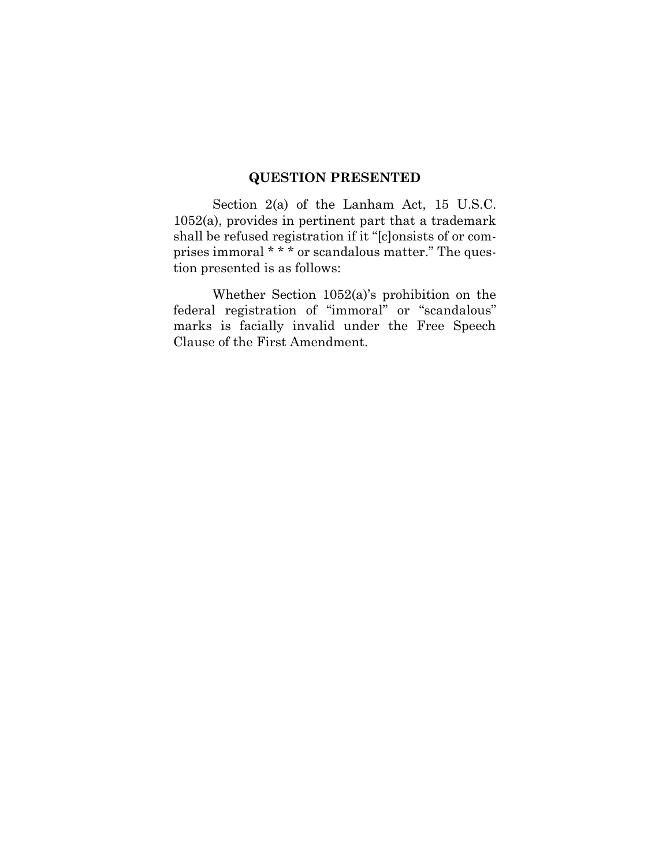## **QUESTION PRESENTED**

Section 2(a) of the Lanham Act, 15 U.S.C. 1052(a), provides in pertinent part that a trademark shall be refused registration if it "[c]onsists of or comprises immoral \* \* \* or scandalous matter." The question presented is as follows:

Whether Section 1052(a)'s prohibition on the federal registration of "immoral" or "scandalous" marks is facially invalid under the Free Speech Clause of the First Amendment.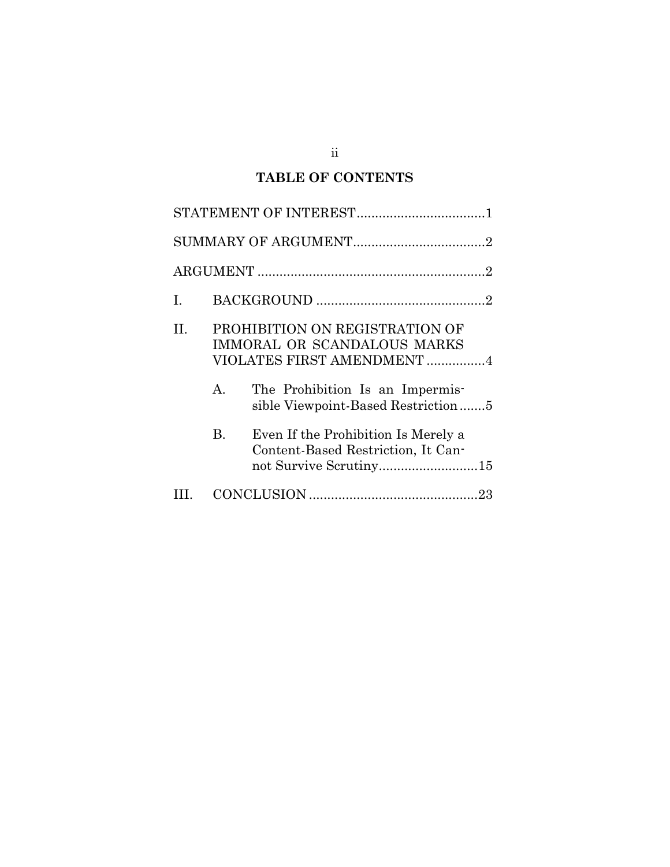## **TABLE OF CONTENTS**

| $\mathbf{I}$ . |    |                                                                                                                                                                             |
|----------------|----|-----------------------------------------------------------------------------------------------------------------------------------------------------------------------------|
| Н.             | А. | PROHIBITION ON REGISTRATION OF<br><b>IMMORAL OR SCANDALOUS MARKS</b><br>VIOLATES FIRST AMENDMENT 4<br>The Prohibition Is an Impermis-<br>sible Viewpoint-Based Restriction5 |
|                | B. | Even If the Prohibition Is Merely a<br>Content-Based Restriction, It Can-<br>not Survive Scrutiny15                                                                         |
|                |    |                                                                                                                                                                             |

ii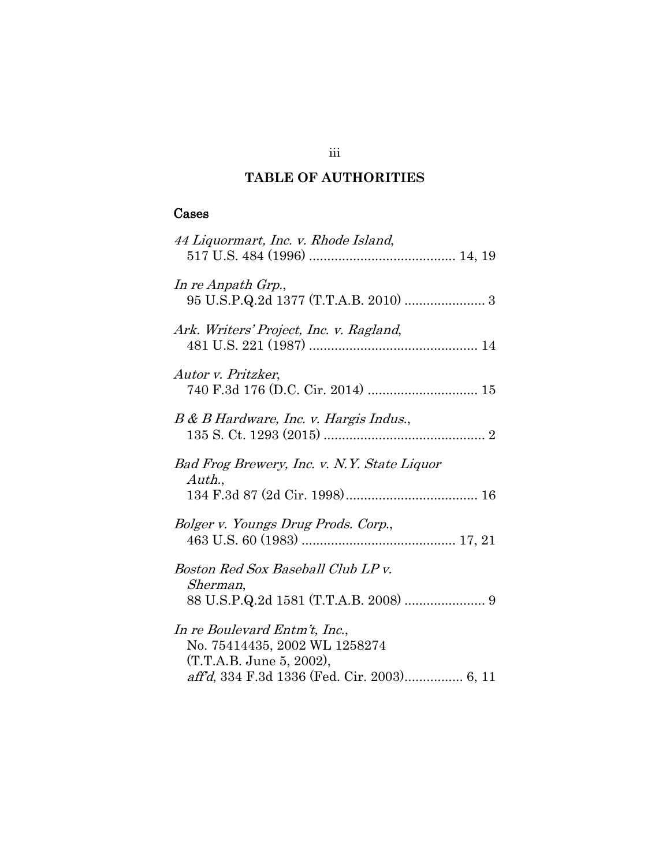## **TABLE OF AUTHORITIES**

## Cases

| 44 Liquormart, Inc. v. Rhode Island,                                                                                                      |
|-------------------------------------------------------------------------------------------------------------------------------------------|
| In re Anpath Grp.,<br>95 U.S.P.Q.2d 1377 (T.T.A.B. 2010)  3                                                                               |
| Ark. Writers' Project, Inc. v. Ragland,                                                                                                   |
| Autor v. Pritzker,                                                                                                                        |
| B & B Hardware, Inc. v. Hargis Indus.,                                                                                                    |
| Bad Frog Brewery, Inc. v. N.Y. State Liquor<br>Author.,                                                                                   |
| Bolger v. Youngs Drug Prods. Corp.,                                                                                                       |
| Boston Red Sox Baseball Club LP v.<br>Sherman,                                                                                            |
| In re Boulevard Entm't, Inc.,<br>No. 75414435, 2002 WL 1258274<br>(T.T.A.B. June 5, 2002),<br>aff'd, 334 F.3d 1336 (Fed. Cir. 2003) 6, 11 |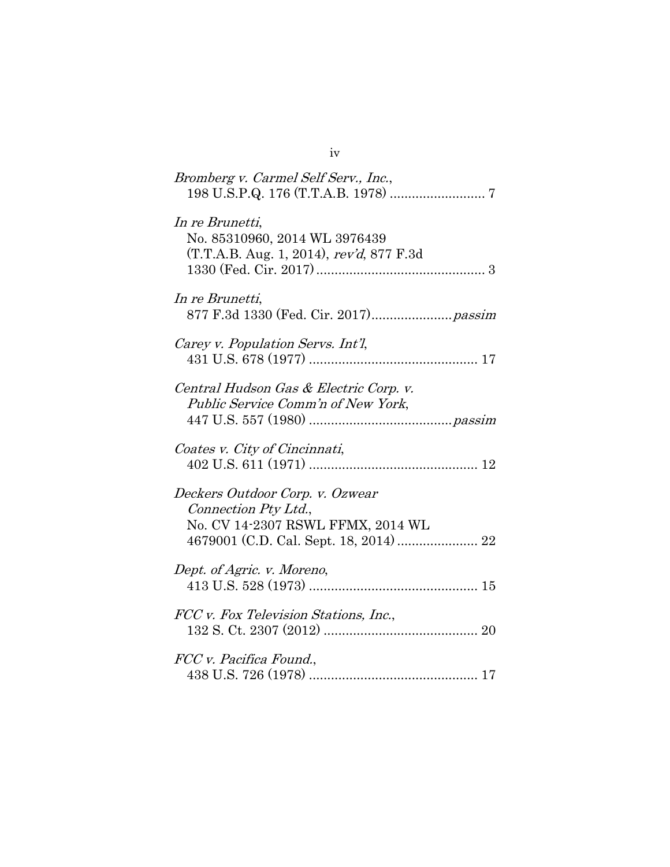| Bromberg v. Carmel Self Serv., Inc.,                                                         |
|----------------------------------------------------------------------------------------------|
| In re Brunetti,<br>No. 85310960, 2014 WL 3976439<br>(T.T.A.B. Aug. 1, 2014), rev'd, 877 F.3d |
| In re Brunetti,                                                                              |
| Carey v. Population Servs. Int'l.                                                            |
| Central Hudson Gas & Electric Corp. v.<br>Public Service Comm'n of New York,                 |
| Coates v. City of Cincinnati,                                                                |
| Deckers Outdoor Corp. v. Ozwear<br>Connection Pty Ltd.,<br>No. CV 14-2307 RSWL FFMX, 2014 WL |
| Dept. of Agric. v. Moreno,                                                                   |
| FCC v. Fox Television Stations, Inc.,                                                        |
| FCC v. Pacifica Found.,                                                                      |

iv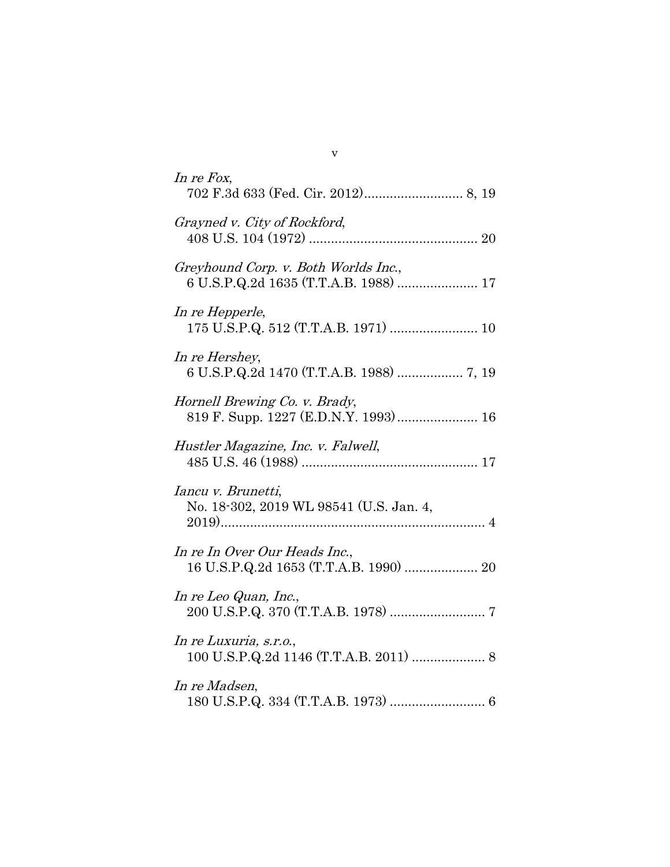| In re Fox,                                                                    |
|-------------------------------------------------------------------------------|
| Grayned v. City of Rockford,                                                  |
| Greyhound Corp. v. Both Worlds Inc.,<br>6 U.S.P.Q.2d 1635 (T.T.A.B. 1988)  17 |
| In re Hepperle,<br>175 U.S.P.Q. 512 (T.T.A.B. 1971)  10                       |
| In re Hershey,<br>6 U.S.P.Q.2d 1470 (T.T.A.B. 1988)  7, 19                    |
| Hornell Brewing Co. v. Brady,<br>819 F. Supp. 1227 (E.D.N.Y. 1993) 16         |
| Hustler Magazine, Inc. v. Falwell,                                            |
| Iancu v. Brunetti,<br>No. 18-302, 2019 WL 98541 (U.S. Jan. 4,                 |
| In re In Over Our Heads Inc.,<br>16 U.S.P.Q.2d 1653 (T.T.A.B. 1990)  20       |
| In re Leo Quan, Inc.,                                                         |
| In re Luxuria, s.r.o.,                                                        |
| In re Madsen,                                                                 |
|                                                                               |

v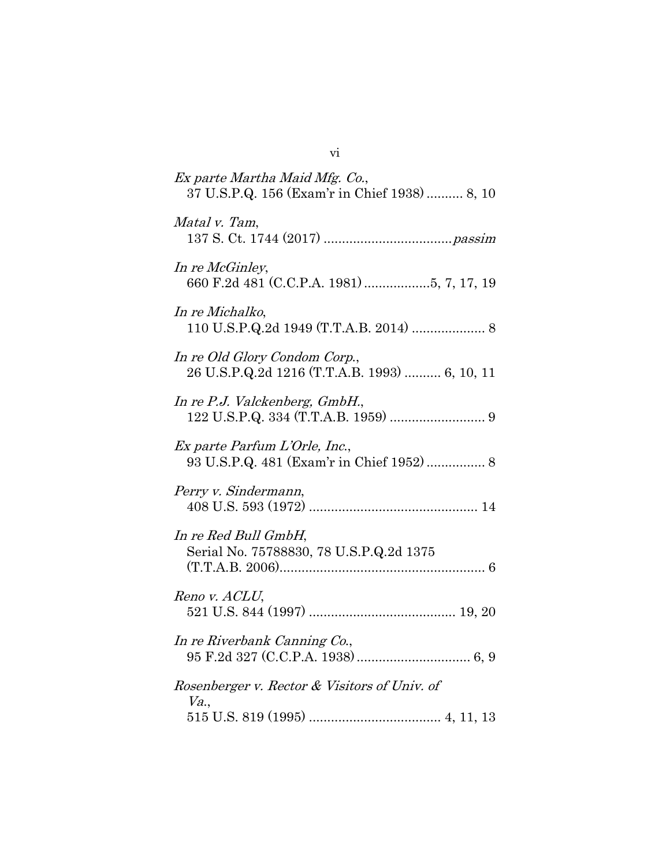| Ex parte Martha Maid Mfg. Co.,<br>37 U.S.P.Q. 156 (Exam'r in Chief 1938)  8, 10 |
|---------------------------------------------------------------------------------|
| Matal v. Tam,                                                                   |
| In re McGinley,<br>660 F.2d 481 (C.C.P.A. 1981) 5, 7, 17, 19                    |
| In re Michalko,<br>110 U.S.P.Q.2d 1949 (T.T.A.B. 2014)  8                       |
| In re Old Glory Condom Corp.,<br>26 U.S.P.Q.2d 1216 (T.T.A.B. 1993)  6, 10, 11  |
| In re P.J. Valckenberg, GmbH.,                                                  |
| Ex parte Parfum L'Orle, Inc.,<br>93 U.S.P.Q. 481 (Exam'r in Chief 1952) 8       |
| Perry v. Sindermann,                                                            |
| In re Red Bull GmbH,<br>Serial No. 75788830, 78 U.S.P.Q.2d 1375                 |
| Reno v. ACLU,                                                                   |
| In re Riverbank Canning Co.,                                                    |
| Rosenberger v. Rector & Visitors of Univ. of<br>Va.                             |
|                                                                                 |

vi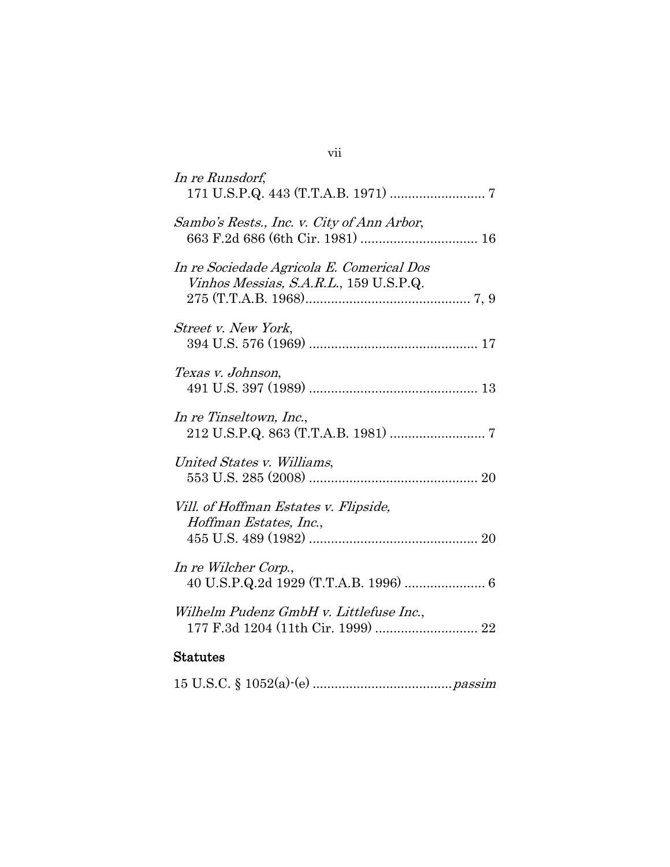| In re Runsdorf,                                                                     |
|-------------------------------------------------------------------------------------|
| Sambo's Rests., Inc. v. City of Ann Arbor,                                          |
| In re Sociedade Agricola E. Comerical Dos<br>Vinhos Messias, S.A.R.L., 159 U.S.P.Q. |
| Street v. New York,                                                                 |
| Texas v. Johnson,                                                                   |
| In re Tinseltown, Inc.,                                                             |
| United States v. Williams,                                                          |
| Vill. of Hoffman Estates v. Flipside,<br>Hoffman Estates, Inc.,                     |
| In re Wilcher Corp.,                                                                |
| Wilhelm Pudenz GmbH v. Littlefuse Inc.,                                             |
| <b>Statutes</b>                                                                     |

|--|--|

## vii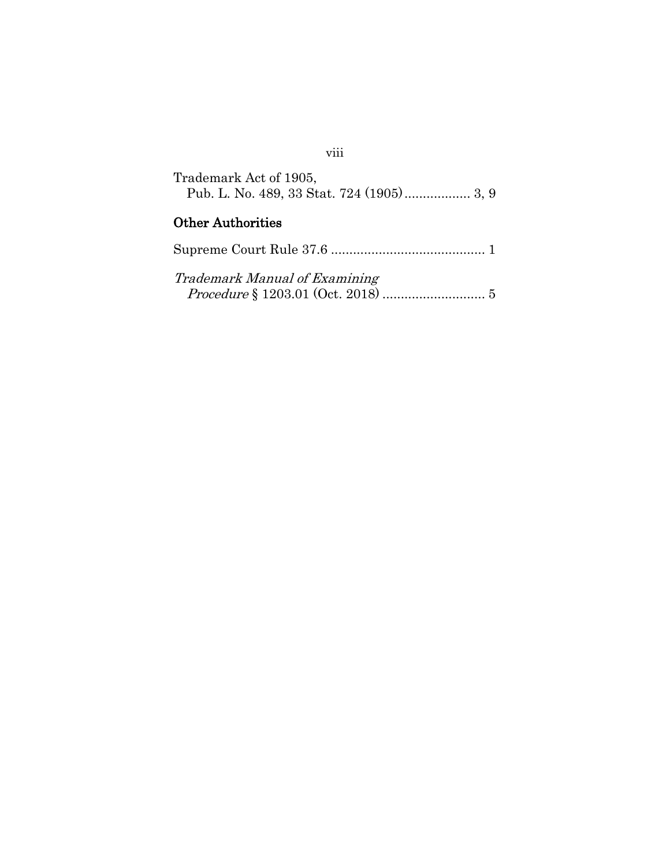| Trademark Act of 1905, |  |
|------------------------|--|
|                        |  |

## Other Authorities

| Trademark Manual of Examining |  |
|-------------------------------|--|
|                               |  |

## viii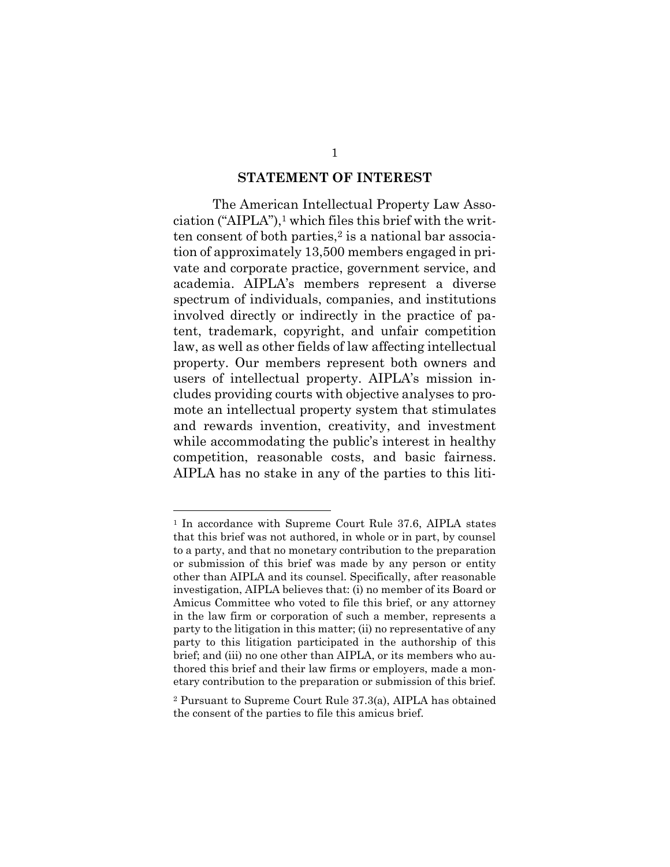#### **STATEMENT OF INTEREST**

The American Intellectual Property Law Association ("AIPLA"), $\frac{1}{1}$  which files this brief with the written consent of both parties, $2$  is a national bar association of approximately 13,500 members engaged in private and corporate practice, government service, and academia. AIPLA's members represent a diverse spectrum of individuals, companies, and institutions involved directly or indirectly in the practice of patent, trademark, copyright, and unfair competition law, as well as other fields of law affecting intellectual property. Our members represent both owners and users of intellectual property. AIPLA's mission includes providing courts with objective analyses to promote an intellectual property system that stimulates and rewards invention, creativity, and investment while accommodating the public's interest in healthy competition, reasonable costs, and basic fairness. AIPLA has no stake in any of the parties to this liti-

<sup>1</sup> In accordance with Supreme Court Rule 37.6, AIPLA states that this brief was not authored, in whole or in part, by counsel to a party, and that no monetary contribution to the preparation or submission of this brief was made by any person or entity other than AIPLA and its counsel. Specifically, after reasonable investigation, AIPLA believes that: (i) no member of its Board or Amicus Committee who voted to file this brief, or any attorney in the law firm or corporation of such a member, represents a party to the litigation in this matter; (ii) no representative of any party to this litigation participated in the authorship of this brief; and (iii) no one other than AIPLA, or its members who authored this brief and their law firms or employers, made a monetary contribution to the preparation or submission of this brief.

<sup>2</sup> Pursuant to Supreme Court Rule 37.3(a), AIPLA has obtained the consent of the parties to file this amicus brief.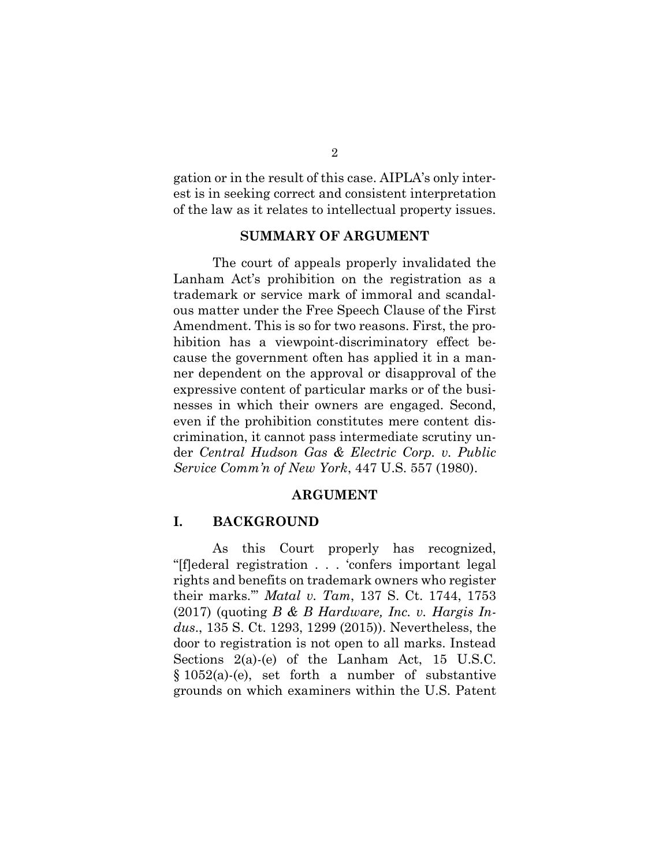gation or in the result of this case. AIPLA's only interest is in seeking correct and consistent interpretation of the law as it relates to intellectual property issues.

#### **SUMMARY OF ARGUMENT**

The court of appeals properly invalidated the Lanham Act's prohibition on the registration as a trademark or service mark of immoral and scandalous matter under the Free Speech Clause of the First Amendment. This is so for two reasons. First, the prohibition has a viewpoint-discriminatory effect because the government often has applied it in a manner dependent on the approval or disapproval of the expressive content of particular marks or of the businesses in which their owners are engaged. Second, even if the prohibition constitutes mere content discrimination, it cannot pass intermediate scrutiny under *Central Hudson Gas & Electric Corp. v. Public Service Comm'n of New York*, 447 U.S. 557 (1980).

#### **ARGUMENT**

#### **I. BACKGROUND**

As this Court properly has recognized, "[f]ederal registration . . . 'confers important legal rights and benefits on trademark owners who register their marks.'" *Matal v. Tam*, 137 S. Ct. 1744, 1753 (2017) (quoting *B & B Hardware, Inc. v. Hargis Indus*., 135 S. Ct. 1293, 1299 (2015)). Nevertheless, the door to registration is not open to all marks. Instead Sections 2(a)-(e) of the Lanham Act, 15 U.S.C. § 1052(a)-(e), set forth a number of substantive grounds on which examiners within the U.S. Patent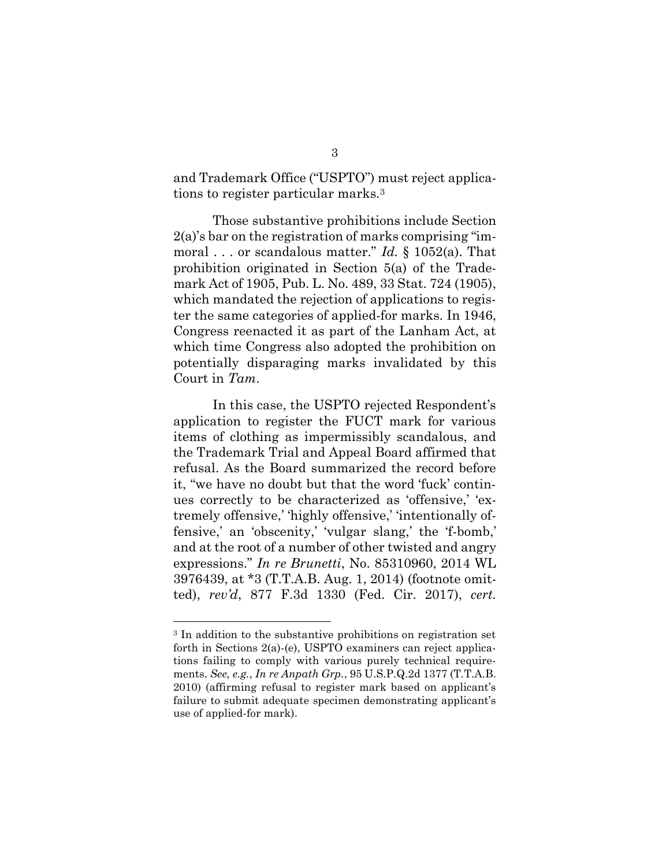and Trademark Office ("USPTO") must reject applications to register particular marks.<sup>3</sup>

Those substantive prohibitions include Section 2(a)'s bar on the registration of marks comprising "immoral . . . or scandalous matter." *Id.* § 1052(a). That prohibition originated in Section 5(a) of the Trademark Act of 1905, Pub. L. No. 489, 33 Stat. 724 (1905), which mandated the rejection of applications to register the same categories of applied-for marks. In 1946, Congress reenacted it as part of the Lanham Act, at which time Congress also adopted the prohibition on potentially disparaging marks invalidated by this Court in *Tam*.

In this case, the USPTO rejected Respondent's application to register the FUCT mark for various items of clothing as impermissibly scandalous, and the Trademark Trial and Appeal Board affirmed that refusal. As the Board summarized the record before it, "we have no doubt but that the word 'fuck' continues correctly to be characterized as 'offensive,' 'extremely offensive,' 'highly offensive,' 'intentionally offensive,' an 'obscenity,' 'vulgar slang,' the 'f-bomb,' and at the root of a number of other twisted and angry expressions." *In re Brunetti*, No. 85310960, 2014 WL 3976439, at \*3 (T.T.A.B. Aug. 1, 2014) (footnote omitted), *rev'd*, 877 F.3d 1330 (Fed. Cir. 2017), *cert.* 

l

<sup>3</sup> In addition to the substantive prohibitions on registration set forth in Sections 2(a)-(e), USPTO examiners can reject applications failing to comply with various purely technical requirements. *See, e.g.*, *In re Anpath Grp.*, 95 U.S.P.Q.2d 1377 (T.T.A.B. 2010) (affirming refusal to register mark based on applicant's failure to submit adequate specimen demonstrating applicant's use of applied-for mark).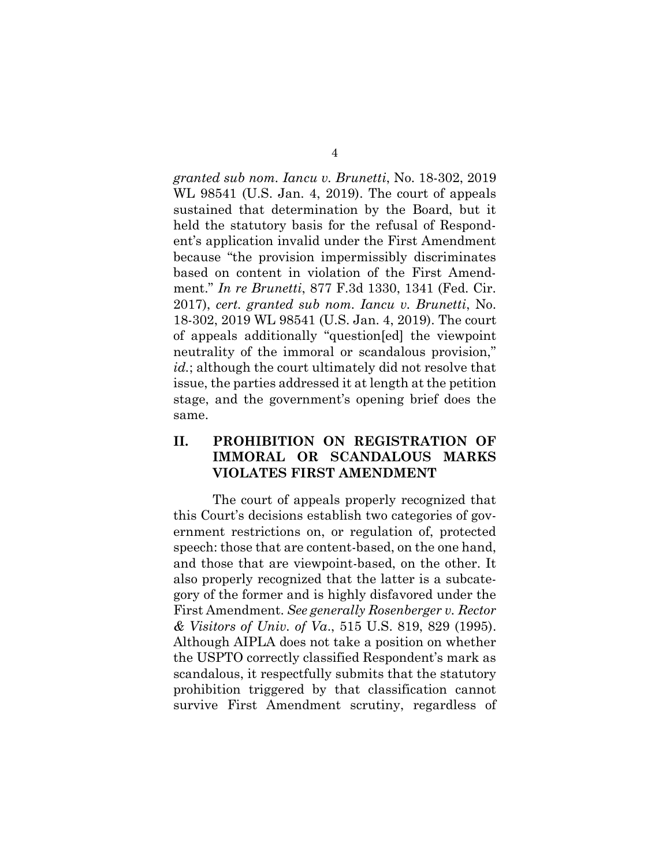*granted sub nom. Iancu v. Brunetti*, No. 18-302, 2019 WL 98541 (U.S. Jan. 4, 2019). The court of appeals sustained that determination by the Board, but it held the statutory basis for the refusal of Respondent's application invalid under the First Amendment because "the provision impermissibly discriminates based on content in violation of the First Amendment." *In re Brunetti*, 877 F.3d 1330, 1341 (Fed. Cir. 2017), *cert. granted sub nom. Iancu v. Brunetti*, No. 18-302, 2019 WL 98541 (U.S. Jan. 4, 2019). The court of appeals additionally "question[ed] the viewpoint neutrality of the immoral or scandalous provision," *id.*; although the court ultimately did not resolve that issue, the parties addressed it at length at the petition stage, and the government's opening brief does the same.

## **II. PROHIBITION ON REGISTRATION OF IMMORAL OR SCANDALOUS MARKS VIOLATES FIRST AMENDMENT**

The court of appeals properly recognized that this Court's decisions establish two categories of government restrictions on, or regulation of, protected speech: those that are content-based, on the one hand, and those that are viewpoint-based, on the other. It also properly recognized that the latter is a subcategory of the former and is highly disfavored under the First Amendment. *See generally Rosenberger v. Rector & Visitors of Univ. of Va*., 515 U.S. 819, 829 (1995). Although AIPLA does not take a position on whether the USPTO correctly classified Respondent's mark as scandalous, it respectfully submits that the statutory prohibition triggered by that classification cannot survive First Amendment scrutiny, regardless of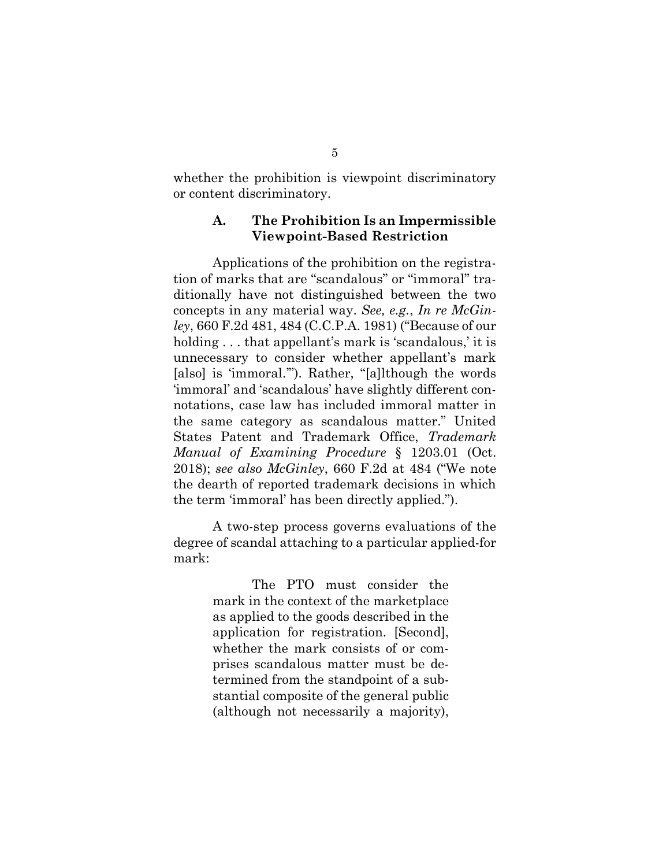whether the prohibition is viewpoint discriminatory or content discriminatory.

#### **A. The Prohibition Is an Impermissible Viewpoint-Based Restriction**

Applications of the prohibition on the registration of marks that are "scandalous" or "immoral" traditionally have not distinguished between the two concepts in any material way. *See, e.g.*, *In re McGinley*, 660 F.2d 481, 484 (C.C.P.A. 1981) ("Because of our holding . . . that appellant's mark is 'scandalous,' it is unnecessary to consider whether appellant's mark [also] is 'immoral.'"). Rather, "[a]lthough the words 'immoral' and 'scandalous' have slightly different connotations, case law has included immoral matter in the same category as scandalous matter." United States Patent and Trademark Office, *Trademark Manual of Examining Procedure* § 1203.01 (Oct. 2018); *see also McGinley*, 660 F.2d at 484 ("We note the dearth of reported trademark decisions in which the term 'immoral' has been directly applied.").

A two-step process governs evaluations of the degree of scandal attaching to a particular applied-for mark:

> The PTO must consider the mark in the context of the marketplace as applied to the goods described in the application for registration. [Second], whether the mark consists of or comprises scandalous matter must be determined from the standpoint of a substantial composite of the general public (although not necessarily a majority),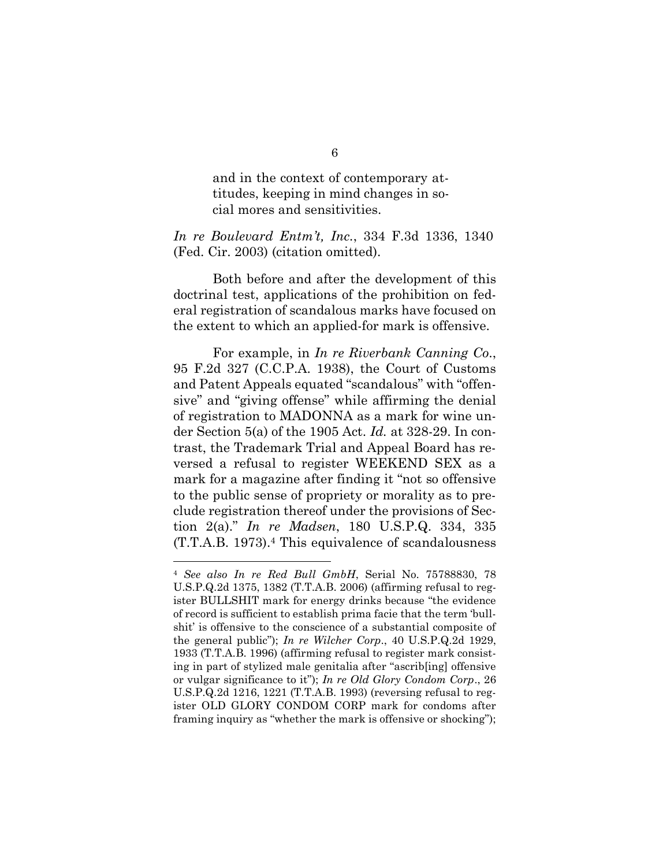and in the context of contemporary attitudes, keeping in mind changes in social mores and sensitivities.

*In re Boulevard Entm't, Inc.*, 334 F.3d 1336, 1340 (Fed. Cir. 2003) (citation omitted).

Both before and after the development of this doctrinal test, applications of the prohibition on federal registration of scandalous marks have focused on the extent to which an applied-for mark is offensive.

For example, in *In re Riverbank Canning Co*., 95 F.2d 327 (C.C.P.A. 1938), the Court of Customs and Patent Appeals equated "scandalous" with "offensive" and "giving offense" while affirming the denial of registration to MADONNA as a mark for wine under Section 5(a) of the 1905 Act. *Id.* at 328-29. In contrast, the Trademark Trial and Appeal Board has reversed a refusal to register WEEKEND SEX as a mark for a magazine after finding it "not so offensive to the public sense of propriety or morality as to preclude registration thereof under the provisions of Section 2(a)." *In re Madsen*, 180 U.S.P.Q. 334, 335 (T.T.A.B. 1973). <sup>4</sup> This equivalence of scandalousness

l

<sup>4</sup> *See also In re Red Bull GmbH*, Serial No. 75788830, 78 U.S.P.Q.2d 1375, 1382 (T.T.A.B. 2006) (affirming refusal to register BULLSHIT mark for energy drinks because "the evidence of record is sufficient to establish prima facie that the term 'bullshit' is offensive to the conscience of a substantial composite of the general public"); *In re Wilcher Corp*., 40 U.S.P.Q.2d 1929, 1933 (T.T.A.B. 1996) (affirming refusal to register mark consisting in part of stylized male genitalia after "ascrib[ing] offensive or vulgar significance to it"); *In re Old Glory Condom Corp*., 26 U.S.P.Q.2d 1216, 1221 (T.T.A.B. 1993) (reversing refusal to register OLD GLORY CONDOM CORP mark for condoms after framing inquiry as "whether the mark is offensive or shocking");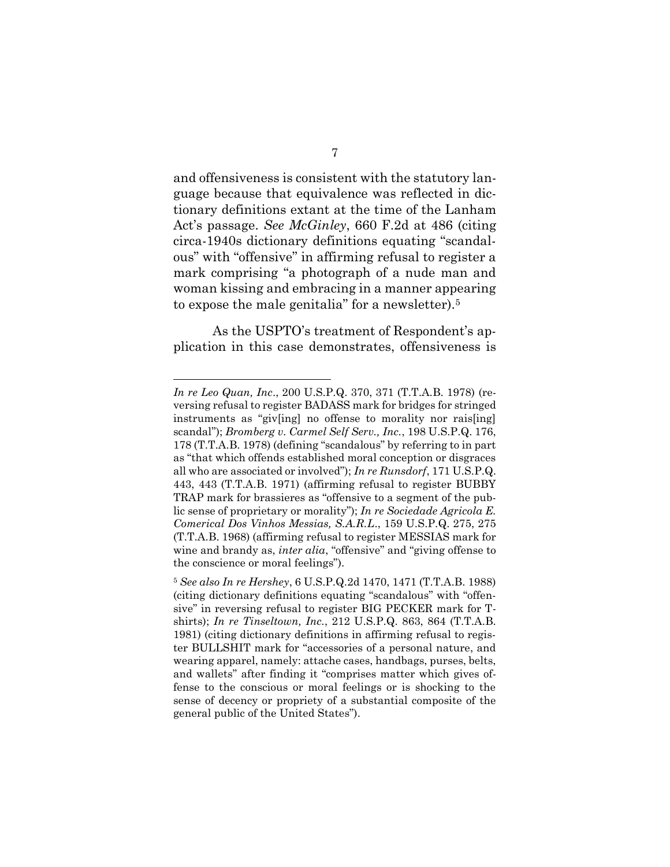and offensiveness is consistent with the statutory language because that equivalence was reflected in dictionary definitions extant at the time of the Lanham Act's passage. *See McGinley*, 660 F.2d at 486 (citing circa-1940s dictionary definitions equating "scandalous" with "offensive" in affirming refusal to register a mark comprising "a photograph of a nude man and woman kissing and embracing in a manner appearing to expose the male genitalia" for a newsletter).<sup>5</sup>

As the USPTO's treatment of Respondent's application in this case demonstrates, offensiveness is

*In re Leo Quan, Inc*., 200 U.S.P.Q. 370, 371 (T.T.A.B. 1978) (reversing refusal to register BADASS mark for bridges for stringed instruments as "giv[ing] no offense to morality nor rais[ing] scandal"); *Bromberg v. Carmel Self Serv., Inc.*, 198 U.S.P.Q. 176, 178 (T.T.A.B. 1978) (defining "scandalous" by referring to in part as "that which offends established moral conception or disgraces all who are associated or involved"); *In re Runsdorf*, 171 U.S.P.Q. 443, 443 (T.T.A.B. 1971) (affirming refusal to register BUBBY TRAP mark for brassieres as "offensive to a segment of the public sense of proprietary or morality"); *In re Sociedade Agricola E. Comerical Dos Vinhos Messias, S.A.R.L*., 159 U.S.P.Q. 275, 275 (T.T.A.B. 1968) (affirming refusal to register MESSIAS mark for wine and brandy as, *inter alia*, "offensive" and "giving offense to the conscience or moral feelings").

<sup>5</sup> *See also In re Hershey*, 6 U.S.P.Q.2d 1470, 1471 (T.T.A.B. 1988) (citing dictionary definitions equating "scandalous" with "offensive" in reversing refusal to register BIG PECKER mark for Tshirts); *In re Tinseltown, Inc.*, 212 U.S.P.Q. 863, 864 (T.T.A.B. 1981) (citing dictionary definitions in affirming refusal to register BULLSHIT mark for "accessories of a personal nature, and wearing apparel, namely: attache cases, handbags, purses, belts, and wallets" after finding it "comprises matter which gives offense to the conscious or moral feelings or is shocking to the sense of decency or propriety of a substantial composite of the general public of the United States").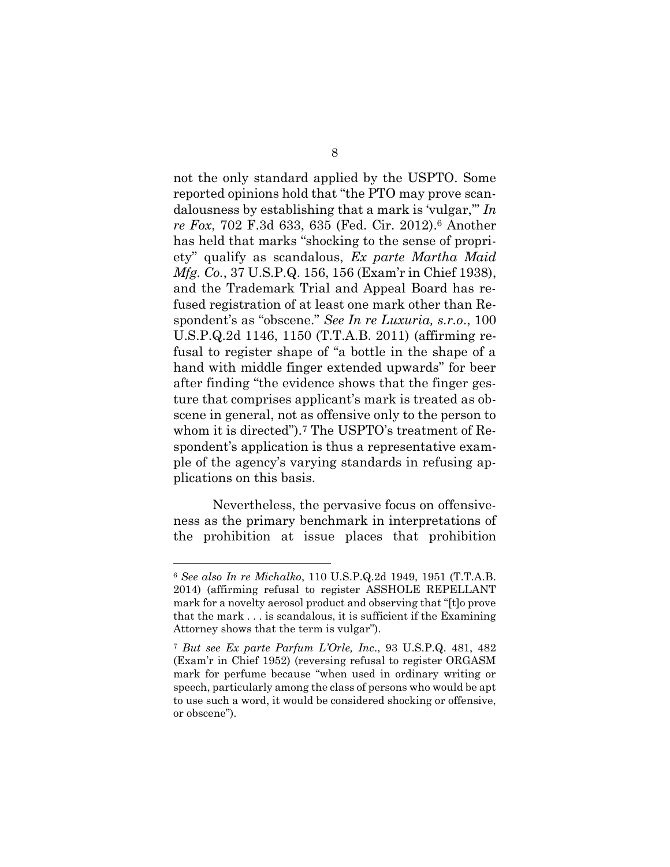not the only standard applied by the USPTO. Some reported opinions hold that "the PTO may prove scandalousness by establishing that a mark is 'vulgar,'" *In re Fox*, 702 F.3d 633, 635 (Fed. Cir. 2012). <sup>6</sup> Another has held that marks "shocking to the sense of propriety" qualify as scandalous, *Ex parte Martha Maid Mfg. Co.*, 37 U.S.P.Q. 156, 156 (Exam'r in Chief 1938), and the Trademark Trial and Appeal Board has refused registration of at least one mark other than Respondent's as "obscene." *See In re Luxuria, s.r.o*., 100 U.S.P.Q.2d 1146, 1150 (T.T.A.B. 2011) (affirming refusal to register shape of "a bottle in the shape of a hand with middle finger extended upwards" for beer after finding "the evidence shows that the finger gesture that comprises applicant's mark is treated as obscene in general, not as offensive only to the person to whom it is directed").<sup>7</sup> The USPTO's treatment of Respondent's application is thus a representative example of the agency's varying standards in refusing applications on this basis.

Nevertheless, the pervasive focus on offensiveness as the primary benchmark in interpretations of the prohibition at issue places that prohibition

<sup>6</sup> *See also In re Michalko*, 110 U.S.P.Q.2d 1949, 1951 (T.T.A.B. 2014) (affirming refusal to register ASSHOLE REPELLANT mark for a novelty aerosol product and observing that "[t]o prove that the mark . . . is scandalous, it is sufficient if the Examining Attorney shows that the term is vulgar").

<sup>7</sup> *But see Ex parte Parfum L'Orle, Inc*., 93 U.S.P.Q. 481, 482 (Exam'r in Chief 1952) (reversing refusal to register ORGASM mark for perfume because "when used in ordinary writing or speech, particularly among the class of persons who would be apt to use such a word, it would be considered shocking or offensive, or obscene").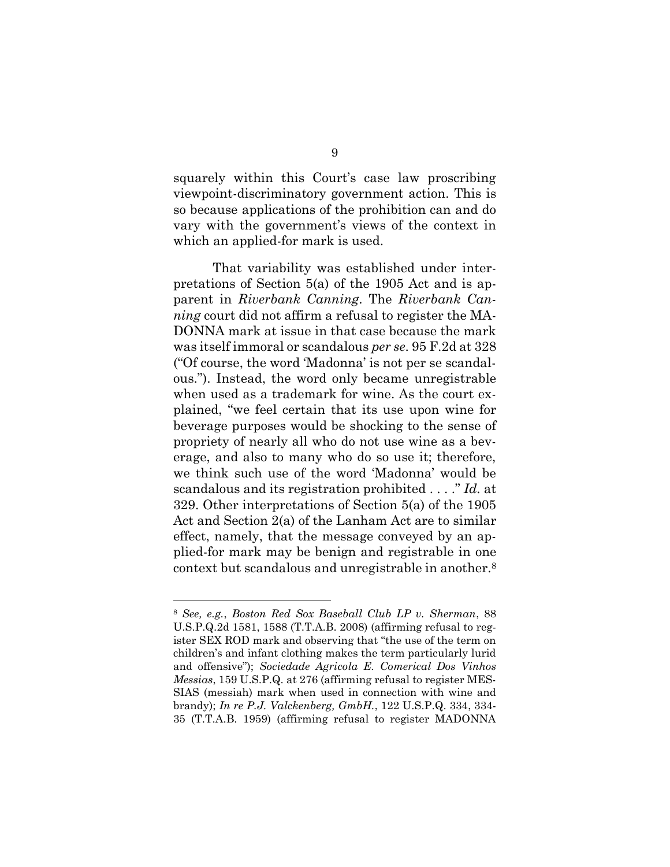squarely within this Court's case law proscribing viewpoint-discriminatory government action. This is so because applications of the prohibition can and do vary with the government's views of the context in which an applied-for mark is used.

That variability was established under interpretations of Section 5(a) of the 1905 Act and is apparent in *Riverbank Canning*. The *Riverbank Canning* court did not affirm a refusal to register the MA-DONNA mark at issue in that case because the mark was itself immoral or scandalous *per se*. 95 F.2d at 328 ("Of course, the word 'Madonna' is not per se scandalous."). Instead, the word only became unregistrable when used as a trademark for wine. As the court explained, "we feel certain that its use upon wine for beverage purposes would be shocking to the sense of propriety of nearly all who do not use wine as a beverage, and also to many who do so use it; therefore, we think such use of the word 'Madonna' would be scandalous and its registration prohibited . . . ." *Id.* at 329. Other interpretations of Section 5(a) of the 1905 Act and Section 2(a) of the Lanham Act are to similar effect, namely, that the message conveyed by an applied-for mark may be benign and registrable in one context but scandalous and unregistrable in another.<sup>8</sup>

l

<sup>8</sup> *See, e.g.*, *Boston Red Sox Baseball Club LP v. Sherman*, 88 U.S.P.Q.2d 1581, 1588 (T.T.A.B. 2008) (affirming refusal to register SEX ROD mark and observing that "the use of the term on children's and infant clothing makes the term particularly lurid and offensive"); *Sociedade Agricola E. Comerical Dos Vinhos Messias*, 159 U.S.P.Q. at 276 (affirming refusal to register MES-SIAS (messiah) mark when used in connection with wine and brandy); *In re P.J. Valckenberg, GmbH.*, 122 U.S.P.Q. 334, 334- 35 (T.T.A.B. 1959) (affirming refusal to register MADONNA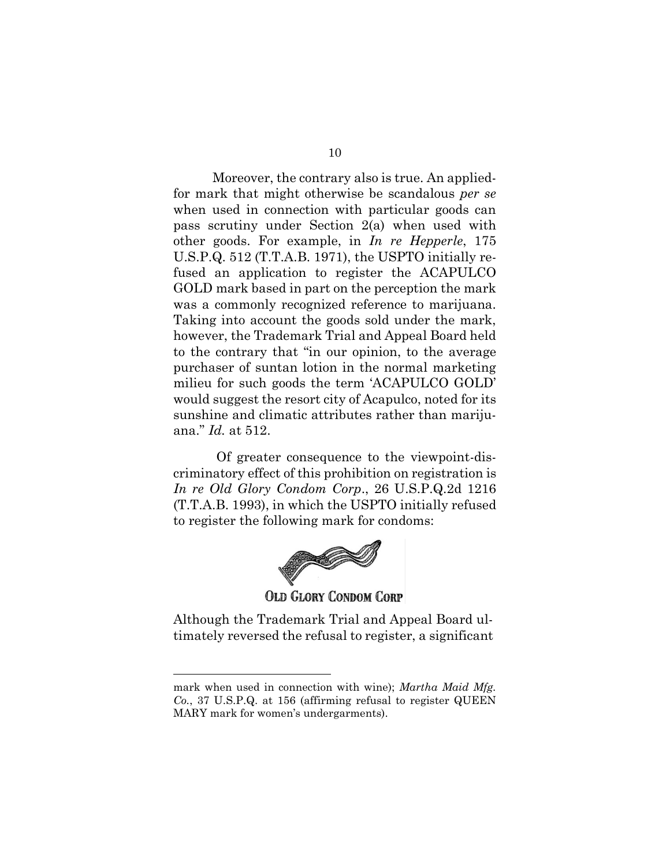Moreover, the contrary also is true. An appliedfor mark that might otherwise be scandalous *per se*  when used in connection with particular goods can pass scrutiny under Section 2(a) when used with other goods. For example, in *In re Hepperle*, 175 U.S.P.Q. 512 (T.T.A.B. 1971), the USPTO initially refused an application to register the ACAPULCO GOLD mark based in part on the perception the mark was a commonly recognized reference to marijuana. Taking into account the goods sold under the mark, however, the Trademark Trial and Appeal Board held to the contrary that "in our opinion, to the average purchaser of suntan lotion in the normal marketing milieu for such goods the term 'ACAPULCO GOLD' would suggest the resort city of Acapulco, noted for its sunshine and climatic attributes rather than marijuana." *Id.* at 512.

Of greater consequence to the viewpoint-discriminatory effect of this prohibition on registration is *In re Old Glory Condom Corp*., 26 U.S.P.Q.2d 1216 (T.T.A.B. 1993), in which the USPTO initially refused to register the following mark for condoms:



Although the Trademark Trial and Appeal Board ultimately reversed the refusal to register, a significant

l

mark when used in connection with wine); *Martha Maid Mfg. Co.*, 37 U.S.P.Q. at 156 (affirming refusal to register QUEEN MARY mark for women's undergarments).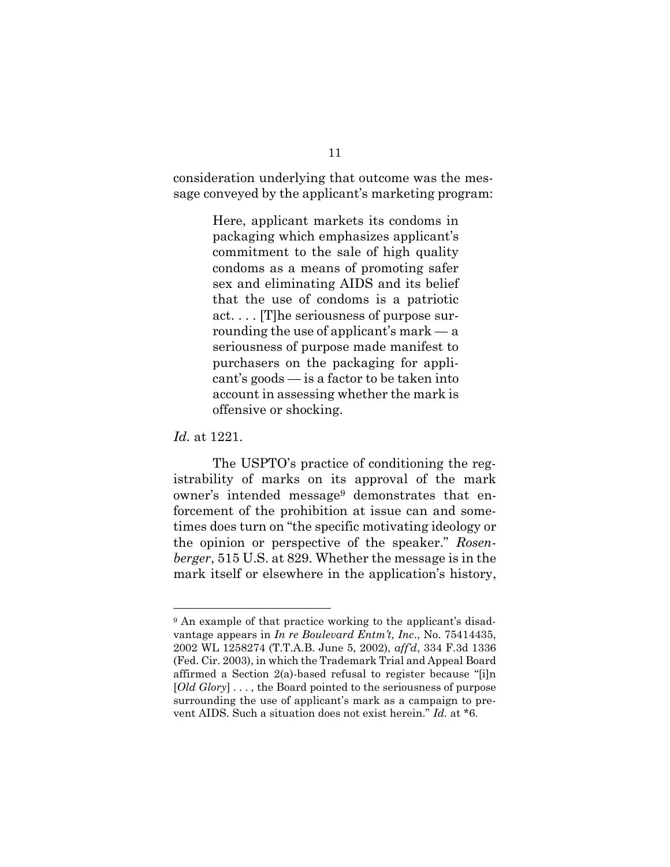consideration underlying that outcome was the message conveyed by the applicant's marketing program:

> Here, applicant markets its condoms in packaging which emphasizes applicant's commitment to the sale of high quality condoms as a means of promoting safer sex and eliminating AIDS and its belief that the use of condoms is a patriotic act. . . . [T]he seriousness of purpose surrounding the use of applicant's mark — a seriousness of purpose made manifest to purchasers on the packaging for applicant's goods — is a factor to be taken into account in assessing whether the mark is offensive or shocking.

*Id.* at 1221.

l

The USPTO's practice of conditioning the registrability of marks on its approval of the mark owner's intended message<sup>9</sup> demonstrates that enforcement of the prohibition at issue can and sometimes does turn on "the specific motivating ideology or the opinion or perspective of the speaker." *Rosenberger*, 515 U.S. at 829. Whether the message is in the mark itself or elsewhere in the application's history,

<sup>9</sup> An example of that practice working to the applicant's disadvantage appears in *In re Boulevard Entm't, Inc*., No. 75414435, 2002 WL 1258274 (T.T.A.B. June 5, 2002), *aff'd*, 334 F.3d 1336 (Fed. Cir. 2003), in which the Trademark Trial and Appeal Board affirmed a Section 2(a)-based refusal to register because "[i]n [*Old Glory*] . . . , the Board pointed to the seriousness of purpose surrounding the use of applicant's mark as a campaign to prevent AIDS. Such a situation does not exist herein." *Id.* at \*6.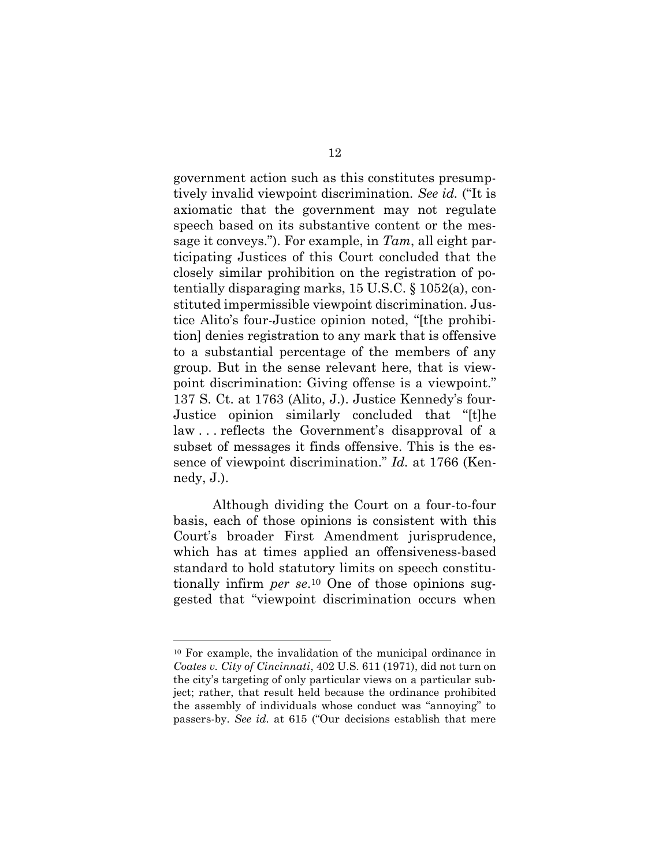government action such as this constitutes presumptively invalid viewpoint discrimination. *See id.* ("It is axiomatic that the government may not regulate speech based on its substantive content or the message it conveys."). For example, in *Tam*, all eight participating Justices of this Court concluded that the closely similar prohibition on the registration of potentially disparaging marks, 15 U.S.C. § 1052(a), constituted impermissible viewpoint discrimination. Justice Alito's four-Justice opinion noted, "[the prohibition] denies registration to any mark that is offensive to a substantial percentage of the members of any group. But in the sense relevant here, that is viewpoint discrimination: Giving offense is a viewpoint." 137 S. Ct. at 1763 (Alito, J.). Justice Kennedy's four-Justice opinion similarly concluded that "[t]he law . . . reflects the Government's disapproval of a subset of messages it finds offensive. This is the essence of viewpoint discrimination." *Id.* at 1766 (Kennedy, J.).

Although dividing the Court on a four-to-four basis, each of those opinions is consistent with this Court's broader First Amendment jurisprudence, which has at times applied an offensiveness-based standard to hold statutory limits on speech constitutionally infirm *per se*. <sup>10</sup> One of those opinions suggested that "viewpoint discrimination occurs when

<sup>10</sup> For example, the invalidation of the municipal ordinance in *Coates v. City of Cincinnati*, 402 U.S. 611 (1971), did not turn on the city's targeting of only particular views on a particular subject; rather, that result held because the ordinance prohibited the assembly of individuals whose conduct was "annoying" to passers-by. *See id.* at 615 ("Our decisions establish that mere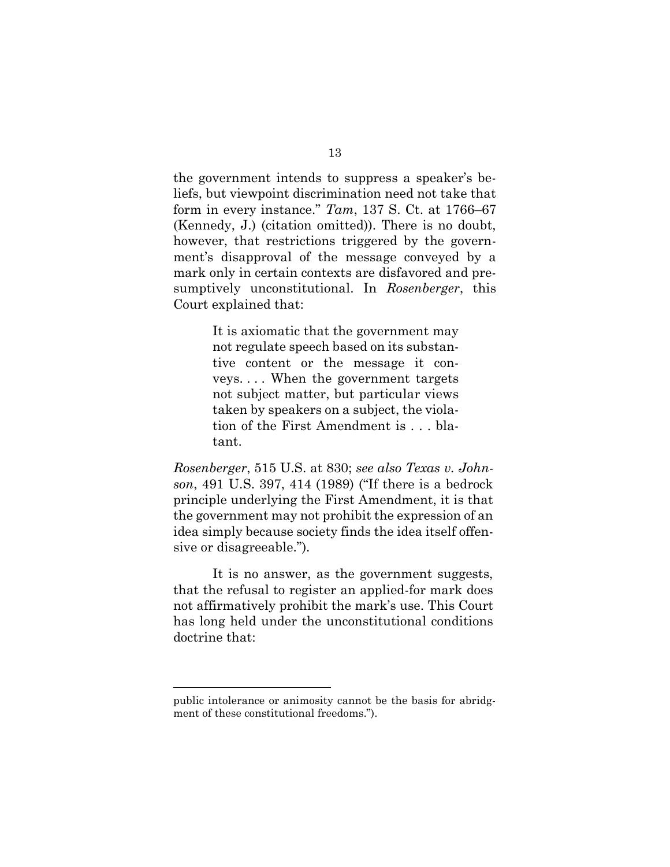the government intends to suppress a speaker's beliefs, but viewpoint discrimination need not take that form in every instance." *Tam*, 137 S. Ct. at 1766–67 (Kennedy, J.) (citation omitted)). There is no doubt, however, that restrictions triggered by the government's disapproval of the message conveyed by a mark only in certain contexts are disfavored and presumptively unconstitutional. In *Rosenberger*, this Court explained that:

> It is axiomatic that the government may not regulate speech based on its substantive content or the message it conveys. . . . When the government targets not subject matter, but particular views taken by speakers on a subject, the violation of the First Amendment is . . . blatant.

*Rosenberger*, [515 U.S. at 830;](https://1.next.westlaw.com/Link/Document/FullText?findType=Y&serNum=1995137604&pubNum=0000708&originatingDoc=I6ee1aaf954f611e7b73588f1a9cfce05&refType=RP&originationContext=document&transitionType=DocumentItem&contextData=(sc.Default)) *see also Texas v. Johnson*, 491 U.S. 397, 414 (1989) ("If there is a bedrock principle underlying the First Amendment, it is that the government may not prohibit the expression of an idea simply because society finds the idea itself offensive or disagreeable.").

It is no answer, as the government suggests, that the refusal to register an applied-for mark does not affirmatively prohibit the mark's use. This Court has long held under the unconstitutional conditions doctrine that:

public intolerance or animosity cannot be the basis for abridgment of these constitutional freedoms.").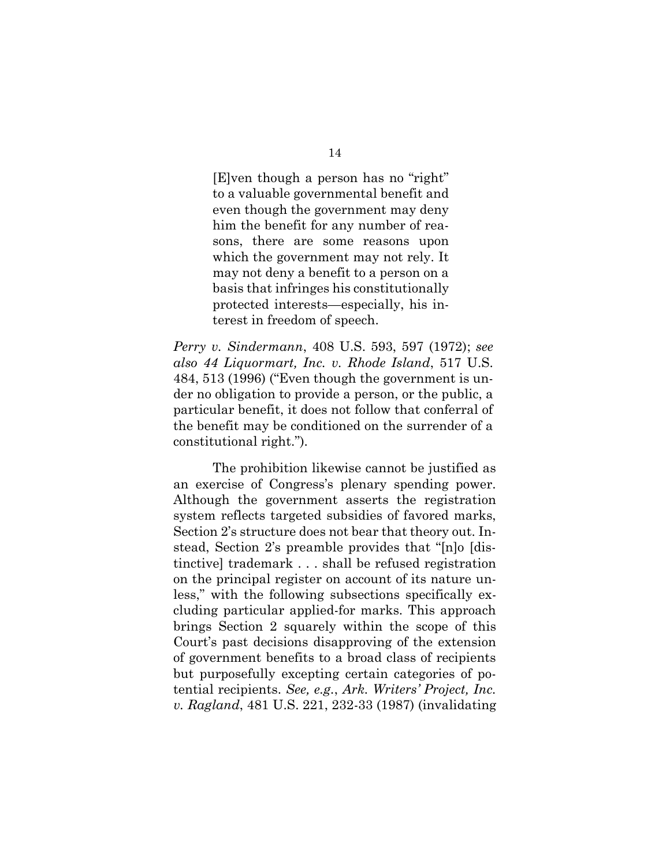[E]ven though a person has no "right" to a valuable governmental benefit and even though the government may deny him the benefit for any number of reasons, there are some reasons upon which the government may not rely. It may not deny a benefit to a person on a basis that infringes his constitutionally protected interests—especially, his interest in freedom of speech.

*Perry v. Sindermann*, 408 U.S. 593, 597 (1972); *see also 44 Liquormart, Inc. v. Rhode Island*, 517 U.S. 484, 513 (1996) ("Even though the government is under no obligation to provide a person, or the public, a particular benefit, it does not follow that conferral of the benefit may be conditioned on the surrender of a constitutional right.").

The prohibition likewise cannot be justified as an exercise of Congress's plenary spending power. Although the government asserts the registration system reflects targeted subsidies of favored marks, Section 2's structure does not bear that theory out. Instead, Section 2's preamble provides that "[n]o [distinctive] trademark . . . shall be refused registration on the principal register on account of its nature unless," with the following subsections specifically excluding particular applied-for marks. This approach brings Section 2 squarely within the scope of this Court's past decisions disapproving of the extension of government benefits to a broad class of recipients but purposefully excepting certain categories of potential recipients. *See, e.g.*, *Ark. Writers' Project, Inc. v. Ragland*, 481 U.S. 221, 232-33 (1987) (invalidating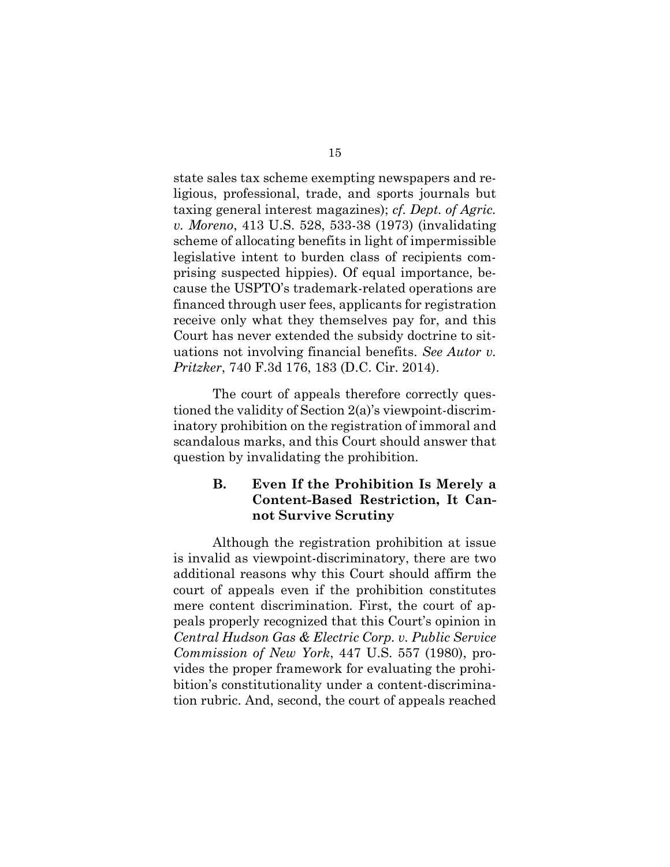state sales tax scheme exempting newspapers and religious, professional, trade, and sports journals but taxing general interest magazines); *cf. Dept. of Agric. v. Moreno*, 413 U.S. 528, 533-38 (1973) (invalidating scheme of allocating benefits in light of impermissible legislative intent to burden class of recipients comprising suspected hippies). Of equal importance, because the USPTO's trademark-related operations are financed through user fees, applicants for registration receive only what they themselves pay for, and this Court has never extended the subsidy doctrine to situations not involving financial benefits. *See Autor v. Pritzker*, 740 F.3d 176, 183 (D.C. Cir. 2014).

The court of appeals therefore correctly questioned the validity of Section 2(a)'s viewpoint-discriminatory prohibition on the registration of immoral and scandalous marks, and this Court should answer that question by invalidating the prohibition.

## **B. Even If the Prohibition Is Merely a Content-Based Restriction, It Cannot Survive Scrutiny**

Although the registration prohibition at issue is invalid as viewpoint-discriminatory, there are two additional reasons why this Court should affirm the court of appeals even if the prohibition constitutes mere content discrimination. First, the court of appeals properly recognized that this Court's opinion in *Central Hudson Gas & Electric Corp. v. Public Service Commission of New York*, 447 U.S. 557 (1980), provides the proper framework for evaluating the prohibition's constitutionality under a content-discrimination rubric. And, second, the court of appeals reached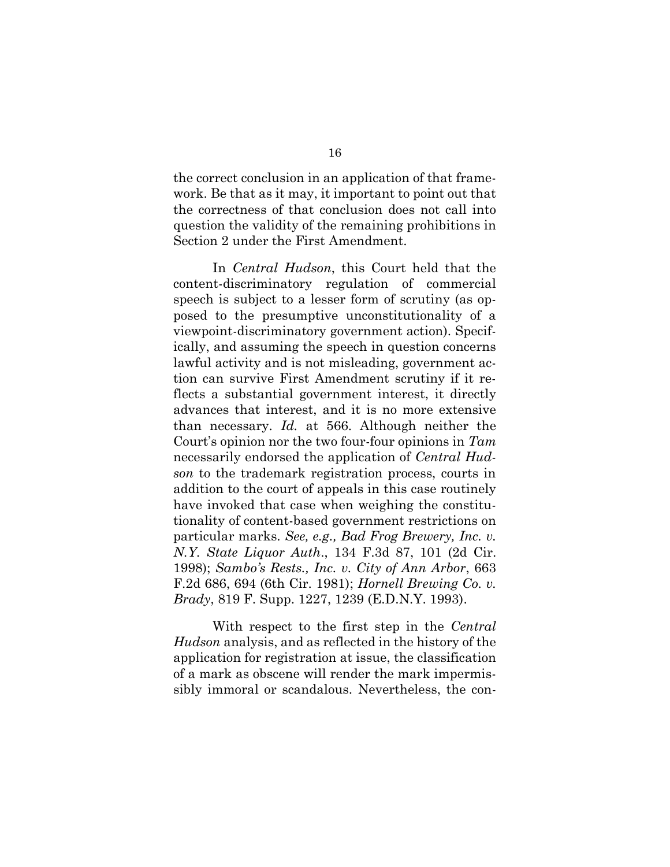the correct conclusion in an application of that framework. Be that as it may, it important to point out that the correctness of that conclusion does not call into question the validity of the remaining prohibitions in Section 2 under the First Amendment.

In *Central Hudson*, this Court held that the content-discriminatory regulation of commercial speech is subject to a lesser form of scrutiny (as opposed to the presumptive unconstitutionality of a viewpoint-discriminatory government action). Specifically, and assuming the speech in question concerns lawful activity and is not misleading, government action can survive First Amendment scrutiny if it reflects a substantial government interest, it directly advances that interest, and it is no more extensive than necessary. *Id.* at 566. Although neither the Court's opinion nor the two four-four opinions in *Tam* necessarily endorsed the application of *Central Hudson* to the trademark registration process, courts in addition to the court of appeals in this case routinely have invoked that case when weighing the constitutionality of content-based government restrictions on particular marks. *See, e.g., Bad Frog Brewery, Inc. v. N.Y. State Liquor Auth*., 134 F.3d 87, 101 (2d Cir. 1998); *Sambo's Rests., Inc. v. City of Ann Arbor*, 663 F.2d 686, 694 (6th Cir. 1981); *Hornell Brewing Co. v. Brady*, 819 F. Supp. 1227, 1239 (E.D.N.Y. 1993).

With respect to the first step in the *Central Hudson* analysis, and as reflected in the history of the application for registration at issue, the classification of a mark as obscene will render the mark impermissibly immoral or scandalous. Nevertheless, the con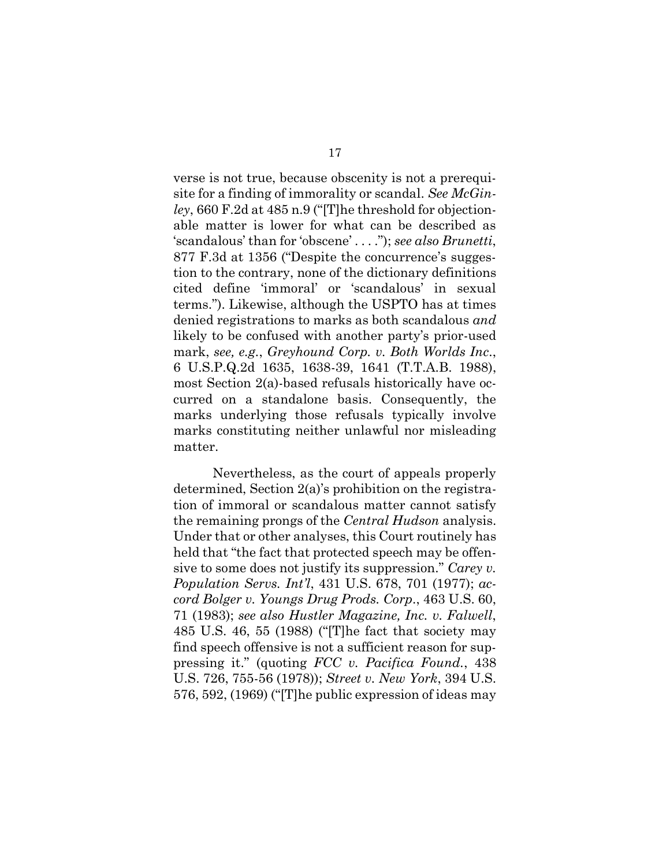verse is not true, because obscenity is not a prerequisite for a finding of immorality or scandal. *See McGinley*, 660 F.2d at 485 n.9 ("[T]he threshold for objectionable matter is lower for what can be described as 'scandalous' than for 'obscene' . . . ."); *see also Brunetti*, 877 F.3d at 1356 ("Despite the concurrence's suggestion to the contrary, none of the dictionary definitions cited define 'immoral' or 'scandalous' in sexual terms."). Likewise, although the USPTO has at times denied registrations to marks as both scandalous *and* likely to be confused with another party's prior-used mark, *see, e.g.*, *Greyhound Corp. v. Both Worlds Inc*., 6 U.S.P.Q.2d 1635, 1638-39, 1641 (T.T.A.B. 1988), most Section 2(a)-based refusals historically have occurred on a standalone basis. Consequently, the marks underlying those refusals typically involve marks constituting neither unlawful nor misleading matter.

Nevertheless, as the court of appeals properly determined, Section 2(a)'s prohibition on the registration of immoral or scandalous matter cannot satisfy the remaining prongs of the *Central Hudson* analysis. Under that or other analyses, this Court routinely has held that "the fact that protected speech may be offensive to some does not justify its suppression." *Carey v. Population Servs. Int'l*, 431 U.S. 678, 701 (1977); *accord Bolger v. Youngs Drug Prods. Corp*., 463 U.S. 60, 71 (1983); *see also Hustler Magazine, Inc. v. Falwell*, 485 U.S. 46, 55 (1988) ("[T]he fact that society may find speech offensive is not a sufficient reason for suppressing it." (quoting *FCC v. Pacifica Found.*, 438 U.S. 726, 755-56 (1978)); *Street v. New York*, 394 U.S. 576, 592, (1969) ("[T]he public expression of ideas may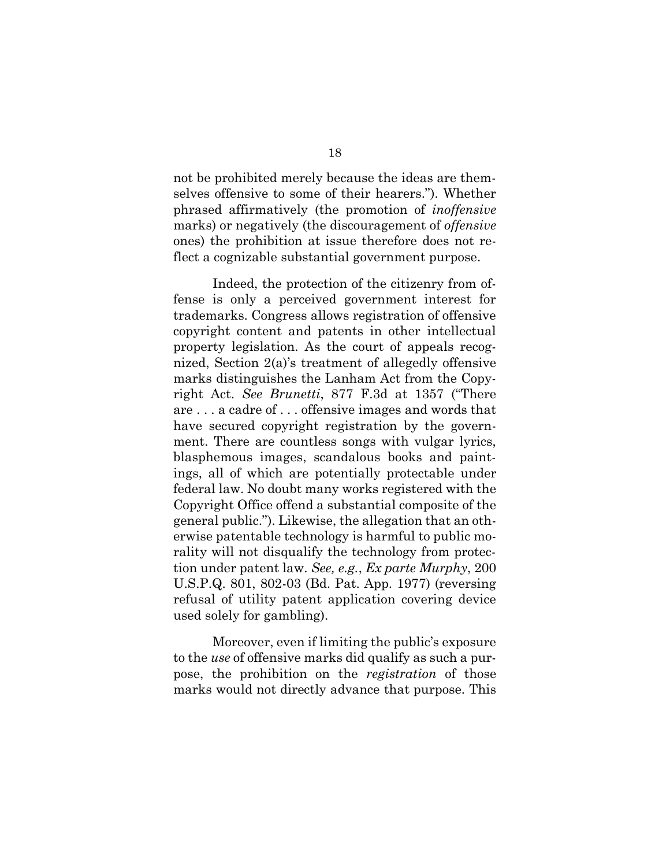not be prohibited merely because the ideas are themselves offensive to some of their hearers."). Whether phrased affirmatively (the promotion of *inoffensive* marks) or negatively (the discouragement of *offensive*  ones) the prohibition at issue therefore does not reflect a cognizable substantial government purpose.

Indeed, the protection of the citizenry from offense is only a perceived government interest for trademarks. Congress allows registration of offensive copyright content and patents in other intellectual property legislation. As the court of appeals recognized, Section 2(a)'s treatment of allegedly offensive marks distinguishes the Lanham Act from the Copyright Act. *See Brunetti*, 877 F.3d at 1357 ("There are . . . a cadre of . . . offensive images and words that have secured copyright registration by the government. There are countless songs with vulgar lyrics, blasphemous images, scandalous books and paintings, all of which are potentially protectable under federal law. No doubt many works registered with the Copyright Office offend a substantial composite of the general public."). Likewise, the allegation that an otherwise patentable technology is harmful to public morality will not disqualify the technology from protection under patent law. *See, e.g.*, *Ex parte Murphy*, 200 U.S.P.Q. 801, 802-03 (Bd. Pat. App. 1977) (reversing refusal of utility patent application covering device used solely for gambling).

Moreover, even if limiting the public's exposure to the *use* of offensive marks did qualify as such a purpose, the prohibition on the *registration* of those marks would not directly advance that purpose. This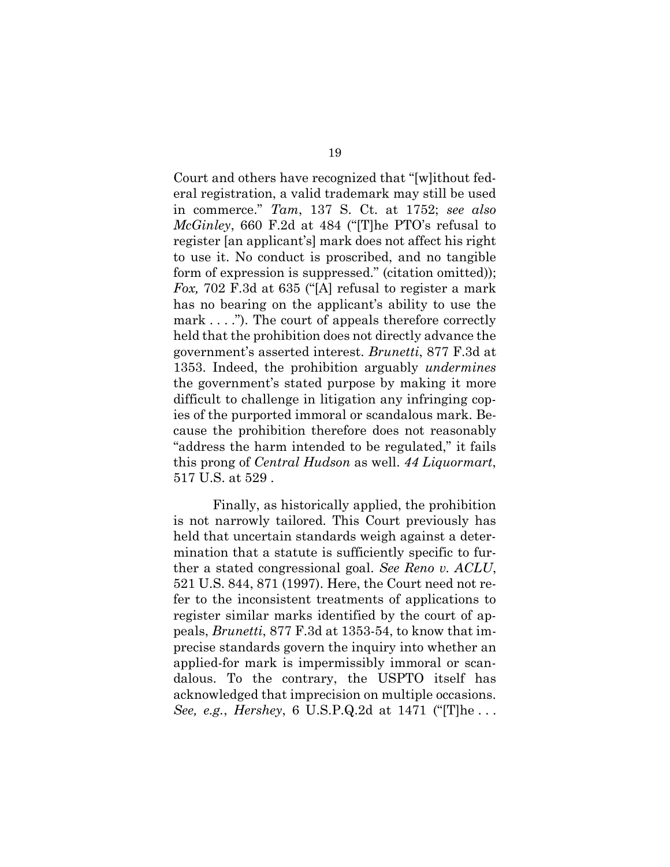Court and others have recognized that "[w]ithout federal registration, a valid trademark may still be used in commerce." *Tam*, 137 S. Ct. at 1752; *see also McGinley*, 660 F.2d at 484 ("[T]he PTO's refusal to register [an applicant's] mark does not affect his right to use it. No conduct is proscribed, and no tangible form of expression is suppressed." (citation omitted)); *Fox,* 702 F.3d at 635 ("[A] refusal to register a mark has no bearing on the applicant's ability to use the mark . . . ."). The court of appeals therefore correctly held that the prohibition does not directly advance the government's asserted interest. *Brunetti*, 877 F.3d at 1353. Indeed, the prohibition arguably *undermines* the government's stated purpose by making it more difficult to challenge in litigation any infringing copies of the purported immoral or scandalous mark. Because the prohibition therefore does not reasonably "address the harm intended to be regulated," it fails this prong of *Central Hudson* as well. *44 Liquormart*, 517 U.S. at 529 .

Finally, as historically applied, the prohibition is not narrowly tailored. This Court previously has held that uncertain standards weigh against a determination that a statute is sufficiently specific to further a stated congressional goal. *See Reno v. ACLU*, 521 U.S. 844, 871 (1997). Here, the Court need not refer to the inconsistent treatments of applications to register similar marks identified by the court of appeals, *Brunetti*, 877 F.3d at 1353-54, to know that imprecise standards govern the inquiry into whether an applied-for mark is impermissibly immoral or scandalous. To the contrary, the USPTO itself has acknowledged that imprecision on multiple occasions. *See, e.g.*, *Hershey*, 6 U.S.P.Q.2d at 1471 ("[T]he . . .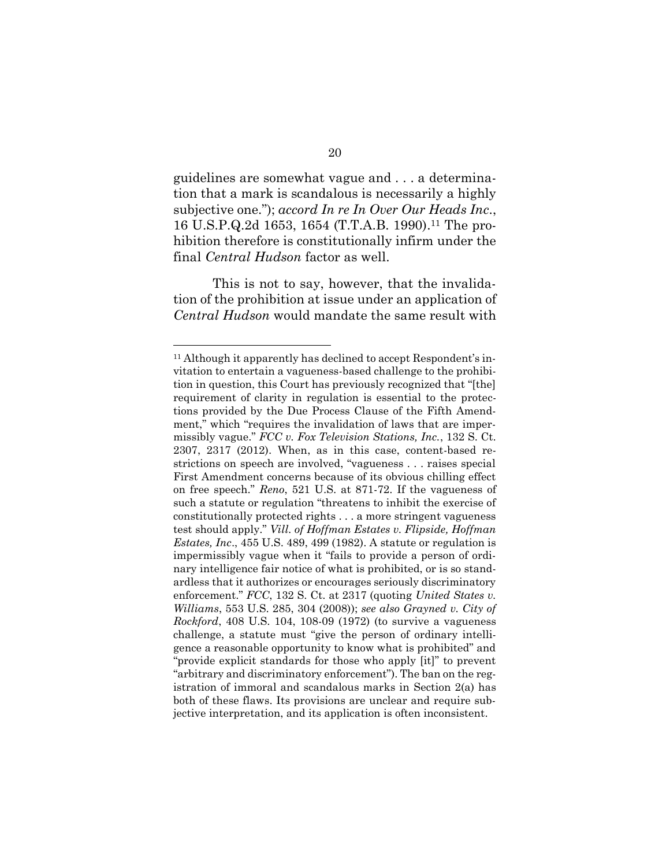guidelines are somewhat vague and . . . a determination that a mark is scandalous is necessarily a highly subjective one."); *accord In re In Over Our Heads Inc*., 16 U.S.P.Q.2d 1653, 1654 (T.T.A.B. 1990). <sup>11</sup> The prohibition therefore is constitutionally infirm under the final *Central Hudson* factor as well.

This is not to say, however, that the invalidation of the prohibition at issue under an application of *Central Hudson* would mandate the same result with

<sup>&</sup>lt;sup>11</sup> Although it apparently has declined to accept Respondent's invitation to entertain a vagueness-based challenge to the prohibition in question, this Court has previously recognized that "[the] requirement of clarity in regulation is essential to the protections provided by the Due Process Clause of the Fifth Amendment," which "requires the invalidation of laws that are impermissibly vague." *FCC v. Fox Television Stations, Inc.*, 132 S. Ct. 2307, 2317 (2012). When, as in this case, content-based restrictions on speech are involved, "vagueness . . . raises special First Amendment concerns because of its obvious chilling effect on free speech." *Reno*, 521 U.S. at 871-72. If the vagueness of such a statute or regulation "threatens to inhibit the exercise of constitutionally protected rights . . . a more stringent vagueness test should apply." *Vill. of Hoffman Estates v. Flipside, Hoffman Estates, Inc*., 455 U.S. 489, 499 (1982). A statute or regulation is impermissibly vague when it "fails to provide a person of ordinary intelligence fair notice of what is prohibited, or is so standardless that it authorizes or encourages seriously discriminatory enforcement." *FCC*, 132 S. Ct. at 2317 (quoting *United States v. Williams*, 553 U.S. 285, 304 (2008)); *see also Grayned v. City of Rockford*, 408 U.S. 104, 108-09 (1972) (to survive a vagueness challenge, a statute must "give the person of ordinary intelligence a reasonable opportunity to know what is prohibited" and "provide explicit standards for those who apply [it]" to prevent "arbitrary and discriminatory enforcement"). The ban on the registration of immoral and scandalous marks in Section 2(a) has both of these flaws. Its provisions are unclear and require subjective interpretation, and its application is often inconsistent.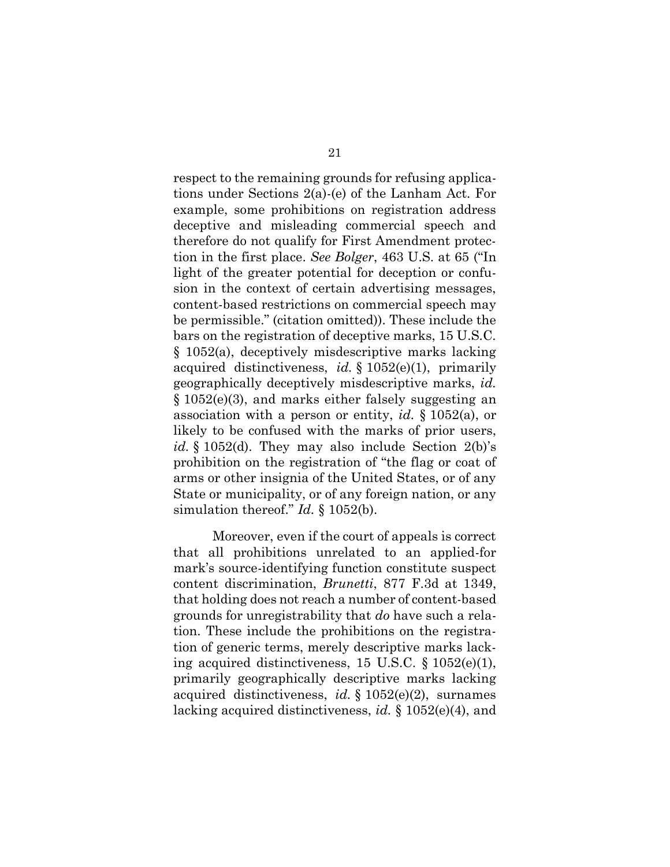respect to the remaining grounds for refusing applications under Sections 2(a)-(e) of the Lanham Act. For example, some prohibitions on registration address deceptive and misleading commercial speech and therefore do not qualify for First Amendment protection in the first place. *See Bolger*, 463 U.S. at 65 ("In light of the greater potential for deception or confusion in the context of certain advertising messages, content-based restrictions on commercial speech may be permissible." (citation omitted)). These include the bars on the registration of deceptive marks, 15 U.S.C. § 1052(a), deceptively misdescriptive marks lacking acquired distinctiveness, *id.* § 1052(e)(1), primarily geographically deceptively misdescriptive marks, *id.* § 1052(e)(3), and marks either falsely suggesting an association with a person or entity, *id.* § 1052(a), or likely to be confused with the marks of prior users, *id.* § 1052(d). They may also include Section 2(b)'s prohibition on the registration of "the flag or coat of arms or other insignia of the United States, or of any State or municipality, or of any foreign nation, or any simulation thereof." *Id.* § 1052(b).

Moreover, even if the court of appeals is correct that all prohibitions unrelated to an applied-for mark's source-identifying function constitute suspect content discrimination, *Brunetti*, 877 F.3d at 1349, that holding does not reach a number of content-based grounds for unregistrability that *do* have such a relation. These include the prohibitions on the registration of generic terms, merely descriptive marks lacking acquired distinctiveness, 15 U.S.C. § 1052(e)(1), primarily geographically descriptive marks lacking acquired distinctiveness, *id.* § 1052(e)(2), surnames lacking acquired distinctiveness, *id.* § 1052(e)(4), and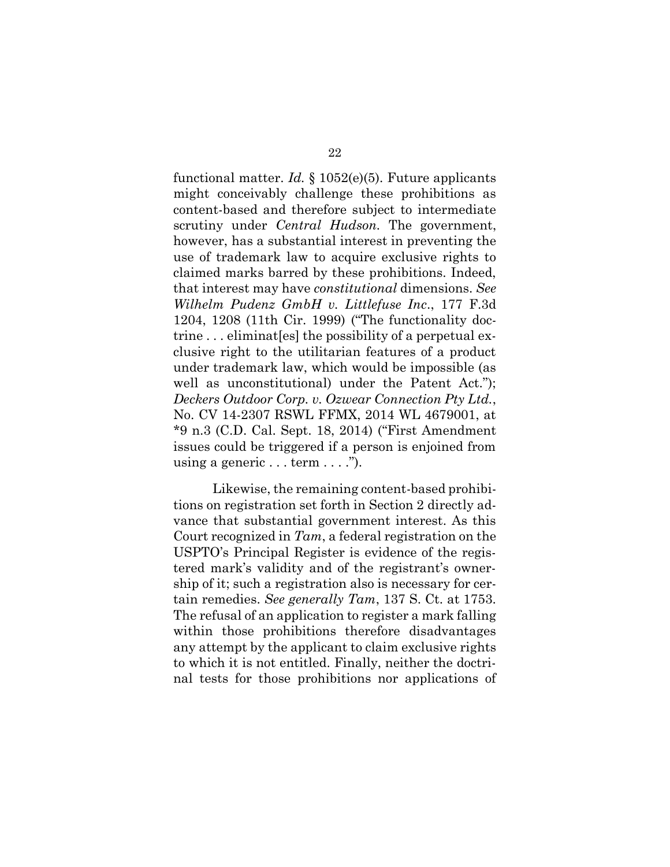functional matter. *Id.* § 1052(e)(5). Future applicants might conceivably challenge these prohibitions as content-based and therefore subject to intermediate scrutiny under *Central Hudson.* The government, however, has a substantial interest in preventing the use of trademark law to acquire exclusive rights to claimed marks barred by these prohibitions. Indeed, that interest may have *constitutional* dimensions. *See Wilhelm Pudenz GmbH v. Littlefuse Inc*., 177 F.3d 1204, 1208 (11th Cir. 1999) ("The functionality doctrine . . . eliminat[es] the possibility of a perpetual exclusive right to the utilitarian features of a product under trademark law, which would be impossible (as well as unconstitutional) under the Patent Act."); *Deckers Outdoor Corp. v. Ozwear Connection Pty Ltd.*, No. CV 14-2307 RSWL FFMX, 2014 WL 4679001, at \*9 n.3 (C.D. Cal. Sept. 18, 2014) ("First Amendment issues could be triggered if a person is enjoined from using a generic  $\dots$  term  $\dots$ .").

Likewise, the remaining content-based prohibitions on registration set forth in Section 2 directly advance that substantial government interest. As this Court recognized in *Tam*, a federal registration on the USPTO's Principal Register is evidence of the registered mark's validity and of the registrant's ownership of it; such a registration also is necessary for certain remedies. *See generally Tam*, 137 S. Ct. at 1753. The refusal of an application to register a mark falling within those prohibitions therefore disadvantages any attempt by the applicant to claim exclusive rights to which it is not entitled. Finally, neither the doctrinal tests for those prohibitions nor applications of